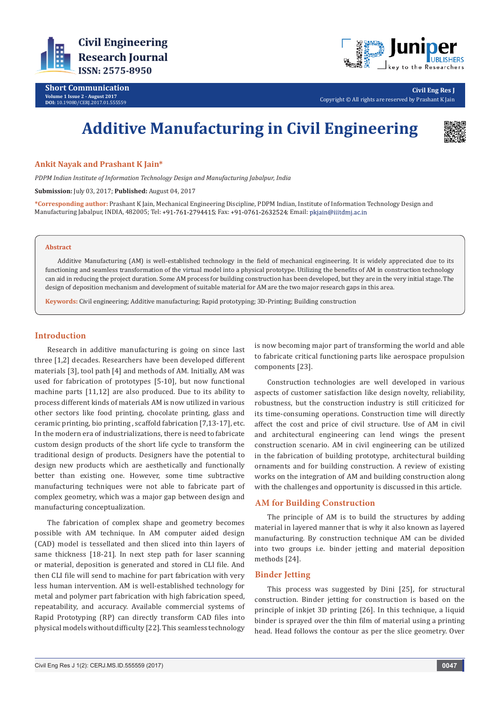

**Short Communication Volume 1 Issue 2 - August 2017 DOI:** [10.19080/CERJ.2017.01.555559](http://dx.doi.org/10.19080/CERJ.2017.01.555559
)



**Civil Eng Res J** Copyright © All rights are reserved by Prashant K Jain

# **Additive Manufacturing in Civil Engineering**



#### **Ankit Nayak and Prashant K Jain\***

*PDPM Indian Institute of Information Technology Design and Manufacturing Jabalpur, India*

**Submission:** July 03, 2017; **Published:** August 04, 2017

**\*Corresponding author:** Prashant K Jain, Mechanical Engineering Discipline, PDPM Indian, Institute of Information Technology Design and Manufacturing Jabalpur, INDIA, 482005; Tel: +91-761-2794415; Fax: +91-0761-2632524; Email: pkjain@iiitdmj.ac.in

#### **Abstract**

Additive Manufacturing (AM) is well-established technology in the field of mechanical engineering. It is widely appreciated due to its functioning and seamless transformation of the virtual model into a physical prototype. Utilizing the benefits of AM in construction technology can aid in reducing the project duration. Some AM process for building construction has been developed, but they are in the very initial stage. The design of deposition mechanism and development of suitable material for AM are the two major research gaps in this area.

**Keywords:** Civil engineering; Additive manufacturing; Rapid prototyping; 3D-Printing; Building construction

#### **Introduction**

Research in additive manufacturing is going on since last three [1,2] decades. Researchers have been developed different materials [3], tool path [4] and methods of AM. Initially, AM was used for fabrication of prototypes [5-10], but now functional machine parts [11,12] are also produced. Due to its ability to process different kinds of materials AM is now utilized in various other sectors like food printing, chocolate printing, glass and ceramic printing, bio printing , scaffold fabrication [7,13-17], etc. In the modern era of industrializations, there is need to fabricate custom design products of the short life cycle to transform the traditional design of products. Designers have the potential to design new products which are aesthetically and functionally better than existing one. However, some time subtractive manufacturing techniques were not able to fabricate part of complex geometry, which was a major gap between design and manufacturing conceptualization.

The fabrication of complex shape and geometry becomes possible with AM technique. In AM computer aided design (CAD) model is tessellated and then sliced into thin layers of same thickness [18-21]. In next step path for laser scanning or material, deposition is generated and stored in CLI file. And then CLI file will send to machine for part fabrication with very less human intervention. AM is well-established technology for metal and polymer part fabrication with high fabrication speed, repeatability, and accuracy. Available commercial systems of Rapid Prototyping (RP) can directly transform CAD files into physical models without difficulty [22]. This seamless technology

is now becoming major part of transforming the world and able to fabricate critical functioning parts like aerospace propulsion components [23].

Construction technologies are well developed in various aspects of customer satisfaction like design novelty, reliability, robustness, but the construction industry is still criticized for its time-consuming operations. Construction time will directly affect the cost and price of civil structure. Use of AM in civil and architectural engineering can lend wings the present construction scenario. AM in civil engineering can be utilized in the fabrication of building prototype, architectural building ornaments and for building construction. A review of existing works on the integration of AM and building construction along with the challenges and opportunity is discussed in this article.

# **AM for Building Construction**

The principle of AM is to build the structures by adding material in layered manner that is why it also known as layered manufacturing. By construction technique AM can be divided into two groups i.e. binder jetting and material deposition methods [24].

#### **Binder Jetting**

This process was suggested by Dini [25], for structural construction. Binder jetting for construction is based on the principle of inkjet 3D printing [26]. In this technique, a liquid binder is sprayed over the thin film of material using a printing head. Head follows the contour as per the slice geometry. Over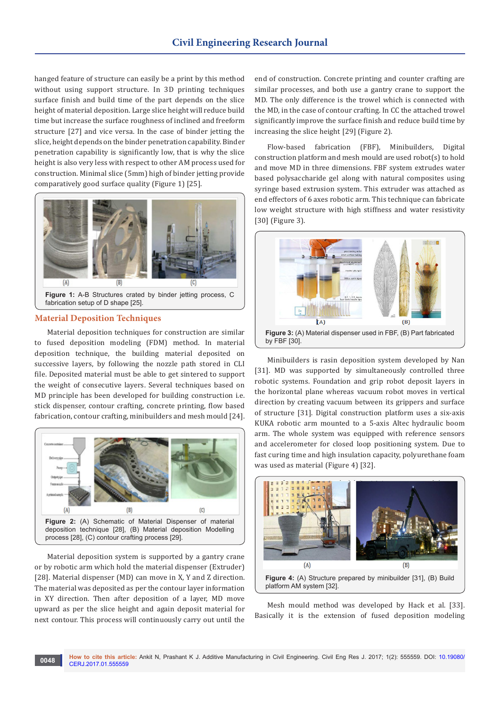hanged feature of structure can easily be a print by this method without using support structure. In 3D printing techniques surface finish and build time of the part depends on the slice height of material deposition. Large slice height will reduce build time but increase the surface roughness of inclined and freeform structure [27] and vice versa. In the case of binder jetting the slice, height depends on the binder penetration capability. Binder penetration capability is significantly low, that is why the slice height is also very less with respect to other AM process used for construction. Minimal slice (5mm) high of binder jetting provide comparatively good surface quality (Figure 1) [25].



fabrication setup of D shape [25].

## **Material Deposition Techniques**

Material deposition techniques for construction are similar to fused deposition modeling (FDM) method. In material deposition technique, the building material deposited on successive layers, by following the nozzle path stored in CLI file. Deposited material must be able to get sintered to support the weight of consecutive layers. Several techniques based on MD principle has been developed for building construction i.e. stick dispenser, contour crafting, concrete printing, flow based fabrication, contour crafting, minibuilders and mesh mould [24].



Material deposition system is supported by a gantry crane or by robotic arm which hold the material dispenser (Extruder) [28]. Material dispenser (MD) can move in X, Y and Z direction. The material was deposited as per the contour layer information in XY direction. Then after deposition of a layer, MD move upward as per the slice height and again deposit material for next contour. This process will continuously carry out until the

end of construction. Concrete printing and counter crafting are similar processes, and both use a gantry crane to support the MD. The only difference is the trowel which is connected with the MD, in the case of contour crafting. In CC the attached trowel significantly improve the surface finish and reduce build time by increasing the slice height [29] (Figure 2).

Flow-based fabrication (FBF), Minibuilders, Digital construction platform and mesh mould are used robot(s) to hold and move MD in three dimensions. FBF system extrudes water based polysaccharide gel along with natural composites using syringe based extrusion system. This extruder was attached as end effectors of 6 axes robotic arm. This technique can fabricate low weight structure with high stiffness and water resistivity [30] (Figure 3).



Minibuilders is rasin deposition system developed by Nan [31]. MD was supported by simultaneously controlled three robotic systems. Foundation and grip robot deposit layers in the horizontal plane whereas vacuum robot moves in vertical direction by creating vacuum between its grippers and surface of structure [31]. Digital construction platform uses a six-axis KUKA robotic arm mounted to a 5-axis Altec hydraulic boom arm. The whole system was equipped with reference sensors and accelerometer for closed loop positioning system. Due to fast curing time and high insulation capacity, polyurethane foam was used as material (Figure 4) [32].



Mesh mould method was developed by Hack et al. [33]. Basically it is the extension of fused deposition modeling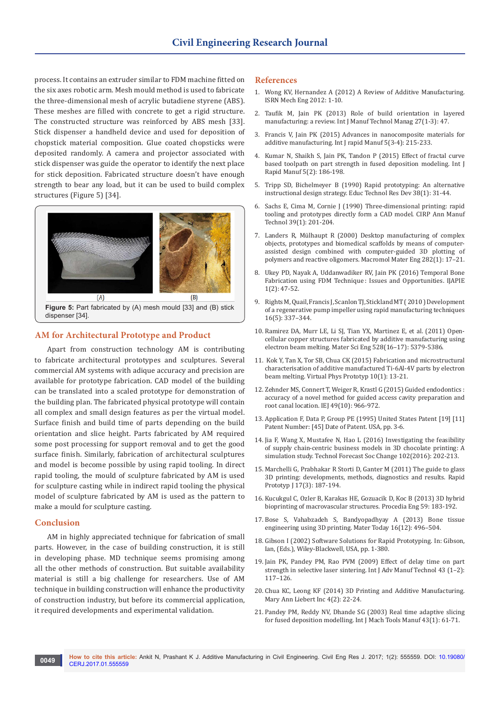process. It contains an extruder similar to FDM machine fitted on the six axes robotic arm. Mesh mould method is used to fabricate the three-dimensional mesh of acrylic butadiene styrene (ABS). These meshes are filled with concrete to get a rigid structure. The constructed structure was reinforced by ABS mesh [33]. Stick dispenser a handheld device and used for deposition of chopstick material composition. Glue coated chopsticks were deposited randomly. A camera and projector associated with stick dispenser was guide the operator to identify the next place for stick deposition. Fabricated structure doesn't have enough strength to bear any load, but it can be used to build complex structures (Figure 5) [34].



**Figure 5:** Part fabricated by (A) mesh mould [33] and (B) stick dispenser [34].

# **AM for Architectural Prototype and Product**

Apart from construction technology AM is contributing to fabricate architectural prototypes and sculptures. Several commercial AM systems with adique accuracy and precision are available for prototype fabrication. CAD model of the building can be translated into a scaled prototype for demonstration of the building plan. The fabricated physical prototype will contain all complex and small design features as per the virtual model. Surface finish and build time of parts depending on the build orientation and slice height. Parts fabricated by AM required some post processing for support removal and to get the good surface finish. Similarly, fabrication of architectural sculptures and model is become possible by using rapid tooling. In direct rapid tooling, the mould of sculpture fabricated by AM is used for sculpture casting while in indirect rapid tooling the physical model of sculpture fabricated by AM is used as the pattern to make a mould for sculpture casting.

#### **Conclusion**

AM in highly appreciated technique for fabrication of small parts. However, in the case of building construction, it is still in developing phase. MD technique seems promising among all the other methods of construction. But suitable availability material is still a big challenge for researchers. Use of AM technique in building construction will enhance the productivity of construction industry, but before its commercial application, it required developments and experimental validation.

#### **References**

- 1. [Wong KV, Hernandez A \(2012\) A Review of Additive Manufacturing.](https://www.hindawi.com/journals/isrn/2012/208760/abs/)  [ISRN Mech Eng 2012: 1-10.](https://www.hindawi.com/journals/isrn/2012/208760/abs/)
- 2. [Taufik M, Jain PK \(2013\) Role of build orientation in layered](http://www.inderscienceonline.com/doi/abs/10.1504/IJMTM.2013.058637)  [manufacturing: a review. Int J Manuf Technol Manag 27\(1-3\): 47.](http://www.inderscienceonline.com/doi/abs/10.1504/IJMTM.2013.058637)
- 3. [Francis V, Jain PK \(2015\) Advances in nanocomposite materials for](http://www.inderscienceonline.com/doi/abs/10.1504/IJRAPIDM.2015.074804?journalCode=ijrapidm)  [additive manufacturing. Int J rapid Manuf 5\(3-4\): 215-233.](http://www.inderscienceonline.com/doi/abs/10.1504/IJRAPIDM.2015.074804?journalCode=ijrapidm)
- 4. [Kumar N, Shaikh S, Jain PK, Tandon P \(2015\) Effect of fractal curve](http://www.inderscienceonline.com/doi/abs/10.1504/IJRAPIDM.2015.073576)  [based toolpath on part strength in fused deposition modeling. Int J](http://www.inderscienceonline.com/doi/abs/10.1504/IJRAPIDM.2015.073576)  [Rapid Manuf 5\(2\): 186-198.](http://www.inderscienceonline.com/doi/abs/10.1504/IJRAPIDM.2015.073576)
- 5. [Tripp SD, Bichelmeyer B \(1990\) Rapid prototyping: An alternative](https://link.springer.com/article/10.1007/BF02298246)  [instructional design strategy. Educ Technol Res Dev 38\(1\): 31-44.](https://link.springer.com/article/10.1007/BF02298246)
- 6. [Sachs E, Cima M, Cornie J \(1990\) Three-dimensional printing: rapid](http://manufacturingscience.asmedigitalcollection.asme.org/article.aspx?articleid=1447635)  [tooling and prototypes directly form a CAD model. CIRP Ann Manuf](http://manufacturingscience.asmedigitalcollection.asme.org/article.aspx?articleid=1447635)  [Technol 39\(1\): 201-204.](http://manufacturingscience.asmedigitalcollection.asme.org/article.aspx?articleid=1447635)
- 7. [Landers R, Mülhaupt R \(2000\) Desktop manufacturing of complex](https://envisiontec.com/3d-bioplotter-research-papers/desktop-manufacturing-of-complex-objects-prototypes-and-biomedical-scaffolds-by-means-of-computer-assisted-design-combined-with-computer-guided-3d-plotting-of-polymers-and-reactive-oligomers/)  [objects, prototypes and biomedical scaffolds by means of computer](https://envisiontec.com/3d-bioplotter-research-papers/desktop-manufacturing-of-complex-objects-prototypes-and-biomedical-scaffolds-by-means-of-computer-assisted-design-combined-with-computer-guided-3d-plotting-of-polymers-and-reactive-oligomers/)[assisted design combined with computer-guided 3D plotting of](https://envisiontec.com/3d-bioplotter-research-papers/desktop-manufacturing-of-complex-objects-prototypes-and-biomedical-scaffolds-by-means-of-computer-assisted-design-combined-with-computer-guided-3d-plotting-of-polymers-and-reactive-oligomers/)  [polymers and reactive oligomers. Macromol Mater Eng 282\(1\): 17–21.](https://envisiontec.com/3d-bioplotter-research-papers/desktop-manufacturing-of-complex-objects-prototypes-and-biomedical-scaffolds-by-means-of-computer-assisted-design-combined-with-computer-guided-3d-plotting-of-polymers-and-reactive-oligomers/)
- 8. Ukey PD, Nayak A, Uddanwadiker RV, Jain PK (2016) Temporal Bone Fabrication using FDM Technique : Issues and Opportunities. IJAPIE 1(2): 47-52.
- 9. Rights M, Quail, Francis J, Scanlon TJ, Stickland MT (2010) Development [of a regenerative pump impeller using rapid manufacturing techniques](http://strathprints.strath.ac.uk/8092/)  [16\(5\): 337–344.](http://strathprints.strath.ac.uk/8092/)
- 10. [Ramirez DA, Murr LE, Li SJ, Tian YX, Martinez E, et al. \(2011\) Open](https://inis.iaea.org/search/search.aspx?orig_q=RN:44010499)[cellular copper structures fabricated by additive manufacturing using](https://inis.iaea.org/search/search.aspx?orig_q=RN:44010499)  [electron beam melting. Mater Sci Eng 528\(16–17\): 5379-5386.](https://inis.iaea.org/search/search.aspx?orig_q=RN:44010499)
- 11. [Kok Y, Tan X, Tor SB, Chua CK \(2015\) Fabrication and microstructural](http://www.tandfonline.com/doi/abs/10.1080/17452759.2015.1008643?journalCode=nvpp20)  [characterisation of additive manufactured Ti-6Al-4V parts by electron](http://www.tandfonline.com/doi/abs/10.1080/17452759.2015.1008643?journalCode=nvpp20)  [beam melting. Virtual Phys Prototyp 10\(1\): 13-21.](http://www.tandfonline.com/doi/abs/10.1080/17452759.2015.1008643?journalCode=nvpp20)
- 12. [Zehnder MS, Connert T, Weiger R, Krastl G \(2015\) Guided endodontics :](http://onlinelibrary.wiley.com/doi/10.1111/iej.12544/abstract)  [accuracy of a novel method for guided access cavity preparation and](http://onlinelibrary.wiley.com/doi/10.1111/iej.12544/abstract)  [root canal location. IEJ 49\(10\): 966-972.](http://onlinelibrary.wiley.com/doi/10.1111/iej.12544/abstract)
- 13. Application F, Data P, Group PE (1995) United States Patent [19] [11] Patent Number: [45] Date of Patent. USA, pp. 3-6.
- 14. Jia F, Wang X, Mustafee N, Hao L (2016) Investigating the feasibility of supply chain-centric business models in 3D chocolate printing: A simulation study. Technol Forecast Soc Change 102(2016): 202-213.
- 15. [Marchelli G, Prabhakar R Storti D, Ganter M \(2011\) The guide to glass](http://www.emeraldinsight.com/doi/abs/10.1108/13552541111124761)  [3D printing: developments, methods, diagnostics and results. Rapid](http://www.emeraldinsight.com/doi/abs/10.1108/13552541111124761)  [Prototyp J 17\(3\): 187-194.](http://www.emeraldinsight.com/doi/abs/10.1108/13552541111124761)
- 16. Kucukgul C, Ozler B, Karakas HE, Gozuacik D, Koc B (2013) 3D hybrid bioprinting of macrovascular structures. Procedia Eng 59: 183-192.
- 17. Bose S, Vahabzadeh S, Bandyopadhyay A (2013) Bone tissue engineering using 3D printing. Mater Today 16(12): 496–504.
- 18. Gibson I (2002) Software Solutions for Rapid Prototyping. In: Gibson, Ian, (Eds.), Wiley-Blackwell, USA, pp. 1-380.
- 19. [Jain PK, Pandey PM, Rao PVM \(2009\) Effect of delay time on part](https://link.springer.com/article/10.1007/s00170-008-1682-3)  [strength in selective laser sintering. Int J Adv Manuf Technol 43 \(1–2\):](https://link.springer.com/article/10.1007/s00170-008-1682-3)  [117–126.](https://link.springer.com/article/10.1007/s00170-008-1682-3)
- 20. [Chua KC, Leong KF \(2014\) 3D Printing and Additive Manufacturing.](http://www.liebertpub.com/forauthors/3d-printing-and-additive-manufacturing/621/)  [Mary Ann Liebert Inc 4\(2\): 22-24.](http://www.liebertpub.com/forauthors/3d-printing-and-additive-manufacturing/621/)
- 21. Pandey PM, Reddy NV, Dhande SG (2003) Real time adaptive slicing for fused deposition modelling. Int J Mach Tools Manuf 43(1): 61-71.